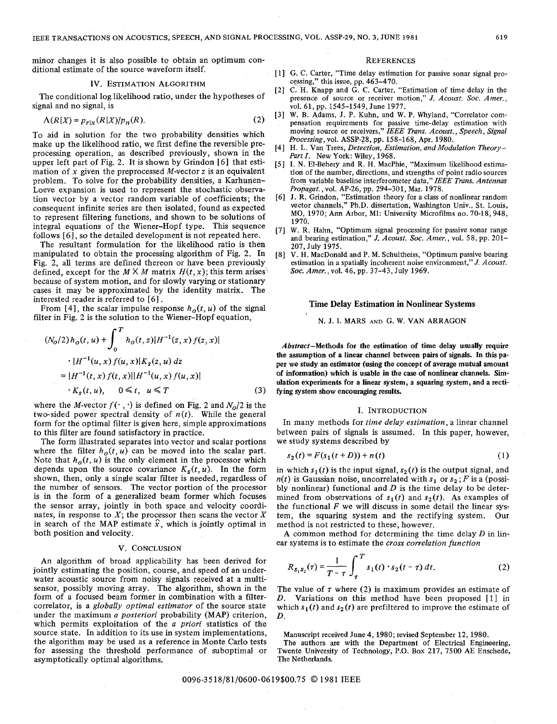minor changes it is also possible to obtain an optimum conditional estimate of the source waveform itself.

#### **IV. ESTIMATION ALGORITHM**

The conditional log likelihood ratio, under the hypotheses of signal and no signal, is

$$
\Lambda(R|X) = p_{r|x}(R|X)/p_n(R). \tag{2}
$$

To aid in solution for the two probability densities which make up the likelihood ratio, we first define the reversible preprocessing operation, as described previously, shown in the upper left part of Fig. 2. It is shown by Grindon **[6]** that estimation of **x** given the preprocessed M-vector **z** is an equivalent problem. To solve for the probability densities, a Karhunen-Loeve expansion is used to represent the stochastic observation vector by a vector random variable of coefficients; the consequent infinite series are then isolated, found as expected to represent filtering functions, and shown to be solutions of integral equations of the Wiener-Hopf type. This sequence follows [6], so the detailed development is not repeated here.

The resultant formulation for the likelihood ratio is then manipulated to obtain the processing algorithm of Fig. *2.* In Fig. 2, all terms are defined thereon or have been previously defined, except for the  $M \times M$  matrix  $H(t, x)$ ; this term arises because of system motion, and for slowly varying or stationary cases it may be approximated by the identity matrix. The interested reader is referred to [6].

From [4], the scalar impulse response  $h_o(t, u)$  of the signal filter in Fig. 2 is the solution to the Wiener-Hopf equation,

$$
(N_0/2) h_o(t, u) + \int_0^T h_o(t, z) |H^{-1}(z, x) f(z, x)|
$$
  
 
$$
= |H^{-1}(u, x) f(u, x)| K_s(z, u) dz
$$
  

$$
= |H^{-1}(t, x) f(t, x)| |H^{-1}(u, x) f(u, x)|
$$
  

$$
K_s(t, u), \quad 0 \le t, u \le T
$$
 (3)

where the *M*-vector  $f(\cdot, \cdot)$  is defined on Fig. 2 and  $N_q/2$  is the two-sided power spectral density of  $n(t)$ . While the general form for the optimal filter is given here, simple approximations to this filter are found satisfactory in practice.

The form illustrated separates into vector and scalar portions where the filter  $h_o(t, u)$  can be moved into the scalar part. Note that  $h_o(t, u)$  is the only element in the processor which depends upon the source covariance  $K_s(t, u)$ . In the form shown, then, only a single scalar filter is needed, regardless of the number of sensors. The vector portion of the processor is in the form of a generalized beam former which focuses the sensor array, jointly in both space and velocity coordinates, in response to  $X$ ; the processor then scans the vector  $X$ in search of the MAP estimate  $\hat{x}$ , which is jointly optimal in both position and velocity.

## **V. CONCLUSION**

An algorithm of broad applicability has been derived for jointly estimating the position, course, and speed of an underwater acoustic source from noisy signals received at a multisensor, possibly moving array. The algorithm, shown in the form of a focused beam former in combination with a filtercorrelator, is a *globally optimal estimator* of the source state under the maximum *a posteriori* probability **(MAP)** criterion, which permits exploitation of the *a priori* statistics of the source state. In addition to its use in system implementations, the algorithm may be used as a reference in Monte Carlo tests for assessing the threshold performance of suboptimal or asymptotically optimal algorithms.

### **REFERENCES**

- G. **C. Carter, "Time delay estimation for passive sonar signal processing," this issue, pp. 463-470.**
- **C.** H. **Knapp and G. C. Carter, "Estimation of time delay in the**   $[2]$ **presence of source** or **receiver motion,"** *J. Acoust. SOC. Amer.,*  **vol. 61, pp. 1545-1549, June 1977.**
- **W. B. Adams, J. P. Kuhn, and W. P. Whyland, "Correlator com-** $[3]$ **pensation requirements for passive time-delay estimation with moving source** or **receivers,"** *IEEE Trans. Acoust., Speech, Signal Processing,* **vol. ASSP-28, pp. 158-168, Apr. 1980.**
- **H.** L. **Van Trees,** *Detection, Estimation, and Modulation Theory-Part I.* **New York: Wiley, 1968.**
- **I. N. El-Behery and R.** H. **MacPhie, "Maximum likelihood estimation of the number, directions, and strengths of point radio sources from variable baseline interferometer data,"** *IEEE Trans. Antennas Propagat.,* **vol. AP-26, pp. 294-301, Mar. 1978.**
- **J. R. Grindon, "Estimation theory for a class of nonlinear random**  [6] **vector channels," Ph.D. dissertation, Washington Univ., St. Louis, MO, 1970; Ann Arbor, MI: University Microfilms no. 70-18,948, 1970.**
- $[7]$ **W. R. Hahn, "Optimum signal processing for passive sonar range and bearing estimation,"** *J. Acoust. SOC. Amer.,* **vol. 58, pp. 201- 207, July 1975.**
- **V.** H. **MacDonald and** P. **M. Schultheiss, "Optimum passive bearing**  [8] **estimation in a spatially incoherent noise environment,"** *J. Acoust. SOC. Amer.,* **vol. 46, pp. 37-43, July 1969.**

## **Time Delay Estimation in Nonlinear Systems**

**N. J. I. MARS AND** G. **W. VAN ARRAGON** 

**Abstract-Methods for the estimation of time delay usually require the assumption of a linear channel between pairs of signals. In this paper we study an estimator (using the concept of average mutual amount**  of information) which is usable in the case of nonlinear channels. Sim**ulation experiments for a linear system, a squaring system, and a rectifying system show encouraging results.** 

#### I. **INTRODUCTION**

In many methods for *time delay estimation,* a linear channel between pairs of signals is assumed. In this paper, however, we study systems described by

$$
s_2(t) = F(s_1(t+D)) + n(t)
$$
 (1)

in which  $s_1(t)$  is the input signal,  $s_2(t)$  is the output signal, and  $n(t)$  is Gaussian noise, uncorrelated with  $s_1$  or  $s_2$ ; *F* is a (possibly nonlinear) functional and  $D$  is the time delay to be determined from observations of  $s_1(t)$  and  $s_2(t)$ . As examples of the functional  $F$  we will discuss in some detail the linear sysmethod is not restricted to these, however.

**A** common method for determining the time delay *D* in linear systems is to estimate the *cross cowelation function* 

them, the squaring system and the rectifying system. Our method is not restricted to these, however.

\nA common method for determining the time delay 
$$
D
$$
 in linear systems is to estimate the cross correlation function

\n
$$
R_{s_1s_2}(\tau) = \frac{1}{T - \tau} \int_{\tau}^{T} s_1(t) \cdot s_2(t - \tau) dt.
$$
\n(2)

The value of  $\tau$  where (2) is maximum provides an estimate of *D.* Variations on this method have been proposed [I] in which  $s_1(t)$  and  $s_2(t)$  are prefiltered to improve the estimate of *D.* 

**Manuscript received June 4, 1980; revised September 12, 1980.** 

**The authors are with the Department of Electrical Engineering, Twente University of Technology, P.O. Box 217, 7500 AE Enschede, The Netherlands.**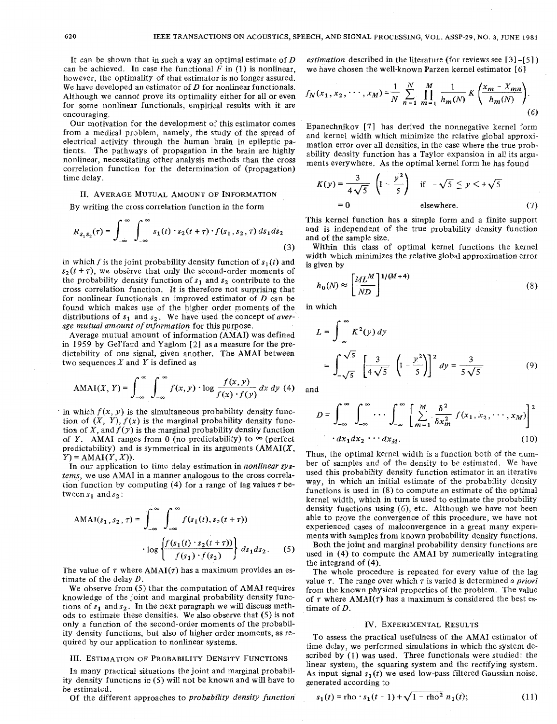It can be shown that in such a way an optimal estimate of *D*  can be achieved. In case the functional  $F$  in (1) is nonlinear, however, the optimality of that estimator is no longer assured. We have developed an estimator of *D* for nonlinear functionals. Although we cannot prove its optimality either for all or even for some nonlinear functionals, empirical results with it are encouraging.

Our motivation for the development of this estimator comes from a medical problem, namely, the study of the spread of electrical activity through the human brain in epileptic patients. The pathways of propagation in the brain are highly nonlinear, necessitating other analysis methods than the cross correlation function for the determination of (propagation) time delay.

## 11. AVERAGE MUTUAL AMOUNT OF INFORMATION

By writing the cross correlation function in the form

$$
R_{s_1 s_2}(\tau) = \int_{-\infty}^{\infty} \int_{-\infty}^{\infty} s_1(t) \cdot s_2(t+\tau) \cdot f(s_1, s_2, \tau) \, ds_1 ds_2 \tag{3}
$$

in which f is the joint probability density function of  $s_1(t)$  and  $s_2(t + \tau)$ , we observe that only the second-order moments of the probability density function of  $s_1$  and  $s_2$  contribute to the cross correlation function. It is therefore not surprising that for nonlinear functionals an improved estimator of *D* can be found which makes use of the higher order moments of the distributions of  $s_1$  and  $s_2$ . We have used the concept of *average mutual amount of information* for this purpose.

Average mutual amount of information (AMAI) was defined in 1959 by Gel'fand and Yaglom [2] as a measure for the predictability of one signal, given another. The AMAI between two sequences *X* and Y is defined as

$$
AMAI(X, Y) = \int_{-\infty}^{\infty} \int_{-\infty}^{\infty} f(x, y) \cdot \log \frac{f(x, y)}{f(x) \cdot f(y)} dx dy
$$
 (4)

in which  $f(x, y)$  is the simultaneous probability density function of  $(X, Y)$ ,  $f(x)$  is the marginal probability density function of X, and  $f(y)$  is the marginal probability density function of *Y*. AMAI ranges from 0 (no predictability) to  $\infty$  (perfect predictability) and is symmetrical in its arguments  $(AMAI(X,$  $Y$ ) = AMAI $(Y, X)$ ).

In our application to time delay estimation in *nonlinear systems,* we use AMAI in a manner analogous to the cross correlation function by computing (4) for a range of lag values  $\tau$  between  $s_1$  and  $s_2$ :

$$
\text{AMAI}(s_1, s_2, \tau) = \int_{-\infty}^{\infty} \int_{-\infty}^{\infty} f(s_1(t), s_2(t + \tau))
$$

$$
\cdot \log \left\{ \frac{f(s_1(t) \cdot s_2(t + \tau))}{f(s_1) \cdot f(s_2)} \right\} ds_1 ds_2. \tag{5}
$$

The value of  $\tau$  where  $AMAI(\tau)$  has a maximum provides an estimate of the delay *D.* 

We observe from (5) that the computation of AMAI requires knowledge of the joint and marginal probability density functions of  $s_1$  and  $s_2$ . In the next paragraph we will discuss methods to estimate these densities. We also observe that (5) is not only a function of the second-order moments of the probability density functions, but also of higher order moments, as required by our application to nonlinear systems.

### 111. ESTIMATION OF PROBABILITY DENSITY FUNCTIONS

In many practical situations the joint and marginal probability density functions in (5) will not be known and will have to be estimated.

Of the different approaches to *probability density function.* 

*estimation* described in the literature (for reviews see [ **31** -[SI we have chosen the well-known Parzen kernel estimator [6]

$$
f_N(x_1, x_2, \cdots, x_M) = \frac{1}{N} \sum_{n=1}^N \prod_{m=1}^M \frac{1}{h_m(N)} K\left(\frac{x_m - x_{mn}}{h_m(N)}\right).
$$
(6)

Epanechnikov [7] has derived the nonnegative kernel form and kernel width which minimize the relative global approximation error over all densities, in the case where the true probability density function has a Taylor expansion in all its arguments everywhere. As the optimal kernel form he has found

$$
K(y) = \frac{3}{4\sqrt{5}} \left(1 - \frac{y^2}{5}\right) \quad \text{if} \quad -\sqrt{5} \leq y < +\sqrt{5} \\ = 0 \quad \text{elsewhere.} \tag{7}
$$

This kernel function has a simple form and a finite support and is independent of the true probability density function and of the sample size.

Within this class of optimal kernel functions the kernel width which minimizes the relative global approximation error is given by

$$
h_0(N) \approx \left[\frac{ML^M}{ND}\right]^{1/(M+4)}
$$
\n(8)

in which

$$
L = \int_{-\infty}^{\infty} K^{2}(y) dy
$$
  
=  $\int_{-\sqrt{5}}^{\sqrt{5}} \left[ \frac{3}{4\sqrt{5}} \left( 1 - \frac{y^{2}}{5} \right) \right]^{2} dy = \frac{3}{5\sqrt{5}}$  (9)

and

$$
D = \int_{-\infty}^{\infty} \int_{-\infty}^{\infty} \cdots \int_{-\infty}^{\infty} \left[ \sum_{m=1}^{M} \frac{\delta^2}{\delta x_m^2} f(x_1, x_2, \cdots, x_M) \right]^2
$$

$$
dx_1 dx_2 \cdots dx_M.
$$
 (10)

Thus, the optimal kernel width is a function both of the number of samples and of the density to be estimated. We have used this probability density function estimator in an iterative way, in which an initial estimate of the probability density functions is used in (8) to compute an estimate of the optimal kernel width, which in turn is used to estimate the probability density functions using *(6),* etc. Although we have not been able to prove the convergence of this procedure, we have not experienced cases of malconvergence in a great many experiments with samples from known probability density functions.

Both the joint and marginal probability density functions are used in (4) to compute the AMAI by numerically integrating the integrand of (4).

The whole procedure is repeated for every value of the lag value r. The range over which *r* is varied is determined *a priori*  from the known physical properties of the problem. The value of  $\tau$  where AMAI( $\tau$ ) has a maximum is considered the best estimate of *D.* 

#### IV. EXPERIMENTAL RESULTS

To assess the practical usefulness of the AMAI estimator of time delay, we performed simulations in which the system described by **(1)** was used. Three functionals were studied: the linear system, the squaring system and the rectifying system. As input signal  $s_1(t)$  we used low-pass filtered Gaussian noise, generated according to

$$
s_1(t) = \text{rho} \cdot s_1(t-1) + \sqrt{1 - \text{rho}^2} \ n_1(t); \tag{11}
$$